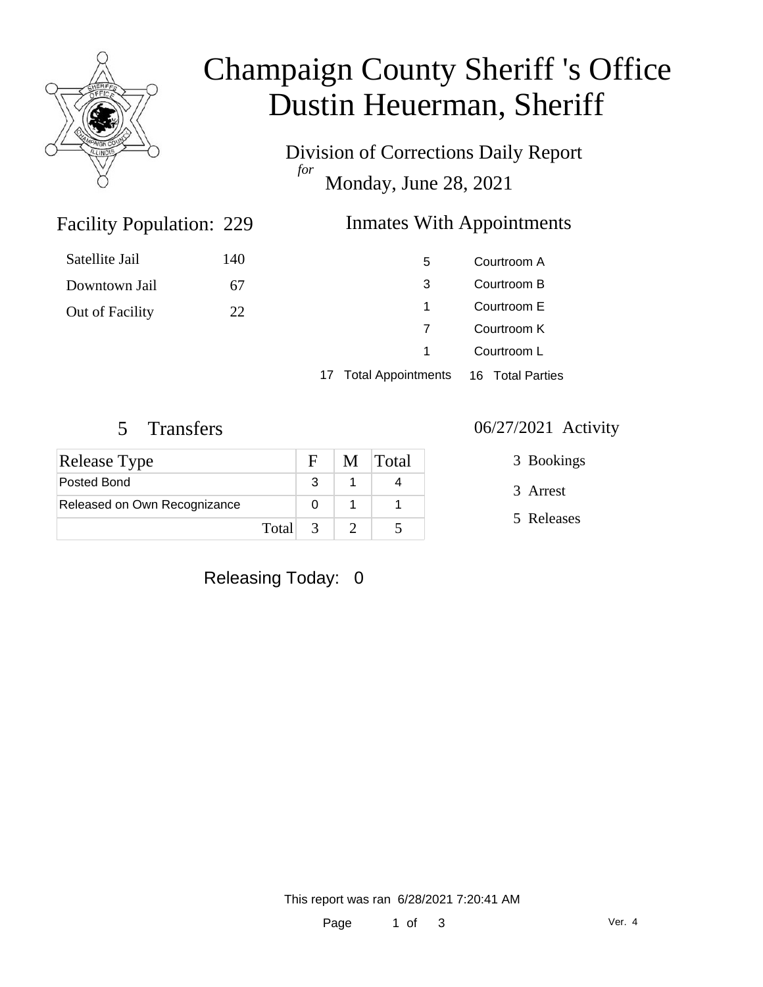

# Champaign County Sheriff 's Office Dustin Heuerman, Sheriff

Division of Corrections Daily Report *for* Monday, June 28, 2021

### Inmates With Appointments

| Satellite Jail  | 140 | 5 | Courtroom A |
|-----------------|-----|---|-------------|
| Downtown Jail   | 67  | 3 | Courtroom B |
| Out of Facility | 22  |   | Courtroom E |
|                 |     |   | Courtroom K |
|                 |     |   | Courtroom L |
|                 |     |   |             |

17 Total Appointments 16 Total Parties

Facility Population: 229

| <b>Release Type</b>          |         | - F | M Total |
|------------------------------|---------|-----|---------|
| Posted Bond                  |         |     |         |
| Released on Own Recognizance |         |     |         |
|                              | Total 3 |     |         |

#### 5 Transfers 06/27/2021 Activity

3 Bookings

- 3 Arrest
- 5 Releases

Releasing Today: 0

This report was ran 6/28/2021 7:20:41 AM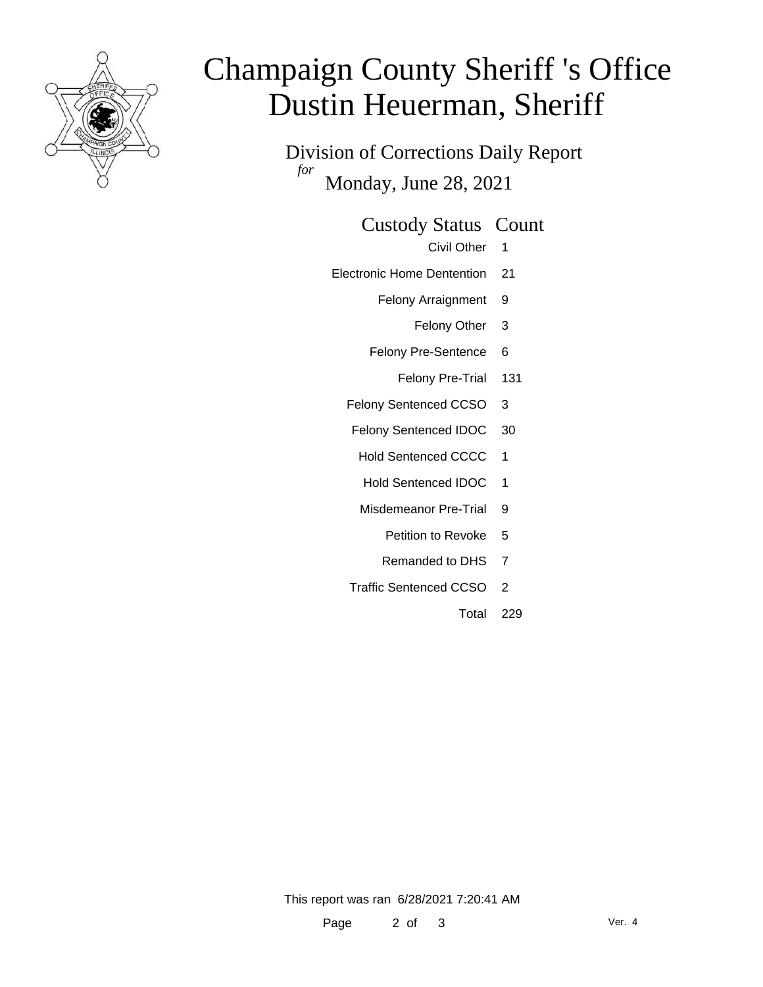

# Champaign County Sheriff 's Office Dustin Heuerman, Sheriff

Division of Corrections Daily Report *for* Monday, June 28, 2021

#### Custody Status Count

- Civil Other 1
- Electronic Home Dentention 21
	- Felony Arraignment 9
		- Felony Other 3
	- Felony Pre-Sentence 6
		- Felony Pre-Trial 131
	- Felony Sentenced CCSO 3
	- Felony Sentenced IDOC 30
		- Hold Sentenced CCCC 1
		- Hold Sentenced IDOC 1
		- Misdemeanor Pre-Trial 9
			- Petition to Revoke 5
			- Remanded to DHS 7
	- Traffic Sentenced CCSO 2
		- Total 229

This report was ran 6/28/2021 7:20:41 AM